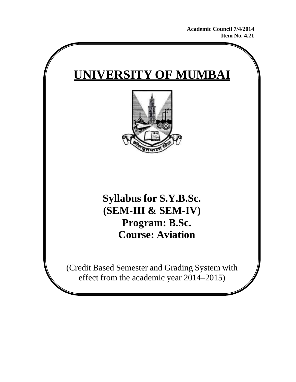**Academic Council 7/4/2014 Item No. 4.21**

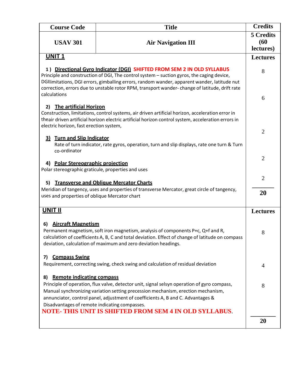| <b>Course Code</b>                                                                                                                                                                                                                                                                                                                                                                                                             | <b>Title</b>                                                                                                                                                                                                                                           | <b>Credits</b>                        |
|--------------------------------------------------------------------------------------------------------------------------------------------------------------------------------------------------------------------------------------------------------------------------------------------------------------------------------------------------------------------------------------------------------------------------------|--------------------------------------------------------------------------------------------------------------------------------------------------------------------------------------------------------------------------------------------------------|---------------------------------------|
| <b>USAV 301</b>                                                                                                                                                                                                                                                                                                                                                                                                                | <b>Air Navigation III</b>                                                                                                                                                                                                                              | <b>5 Credits</b><br>(60)<br>lectures) |
| <b>UNIT 1</b>                                                                                                                                                                                                                                                                                                                                                                                                                  |                                                                                                                                                                                                                                                        | <b>Lectures</b>                       |
| 1) Directional Gyro Indicator (DGI) SHIFTED FROM SEM 2 IN OLD SYLLABUS<br>Principle and construction of DGI, The control system - suction gyros, the caging device,<br>DGIIimitations, DGI errors, gimballing errors, random wander, apparent wander, latitude nut<br>correction, errors due to unstable rotor RPM, transport wander-change of latitude, drift rate<br>calculations                                            |                                                                                                                                                                                                                                                        | 8                                     |
|                                                                                                                                                                                                                                                                                                                                                                                                                                |                                                                                                                                                                                                                                                        | 6                                     |
| <b>The artificial Horizon</b><br>2)<br>electric horizon, fast erection system,                                                                                                                                                                                                                                                                                                                                                 | Construction, limitations, control systems, air driven artificial horizon, acceleration error in<br>theair driven artificial horizon electric artificial horizon control system, acceleration errors in                                                | $\overline{2}$                        |
| 3) Turn and Slip Indicator<br>co-ordinator                                                                                                                                                                                                                                                                                                                                                                                     | Rate of turn indicator, rate gyros, operation, turn and slip displays, rate one turn & Turn                                                                                                                                                            |                                       |
| 4) Polar Stereographic projection<br>Polar stereographic graticule, properties and uses                                                                                                                                                                                                                                                                                                                                        |                                                                                                                                                                                                                                                        | $\overline{2}$                        |
| 5)                                                                                                                                                                                                                                                                                                                                                                                                                             | <b>Transverse and Oblique Mercator Charts</b>                                                                                                                                                                                                          | $\overline{2}$                        |
| Meridian of tangency, uses and properties of transverse Mercator, great circle of tangency,<br>uses and properties of oblique Mercator chart                                                                                                                                                                                                                                                                                   |                                                                                                                                                                                                                                                        | 20                                    |
| <b>UNIT II</b>                                                                                                                                                                                                                                                                                                                                                                                                                 |                                                                                                                                                                                                                                                        | <b>Lectures</b>                       |
| <b>Aircraft Magnetism</b><br>6)                                                                                                                                                                                                                                                                                                                                                                                                | Permanent magnetism, soft iron magnetism, analysis of components P+c, Q+f and R,<br>calculation of coefficients A, B, C and total deviation. Effect of change of latitude on compass<br>deviation, calculation of maximum and zero deviation headings. | 8                                     |
| <b>Compass Swing</b><br>7)<br>Requirement, correcting swing, check swing and calculation of residual deviation                                                                                                                                                                                                                                                                                                                 |                                                                                                                                                                                                                                                        | 4                                     |
| <b>Remote indicating compass</b><br>8)<br>Principle of operation, flux valve, detector unit, signal selsyn operation of gyro compass,<br>Manual synchronizing variation setting precession mechanism, erection mechanism,<br>annunciator, control panel, adjustment of coefficients A, B and C. Advantages &<br>Disadvantages of remote indicating compasses.<br><b>NOTE- THIS UNIT IS SHIFTED FROM SEM 4 IN OLD SYLLABUS.</b> |                                                                                                                                                                                                                                                        | 8                                     |
|                                                                                                                                                                                                                                                                                                                                                                                                                                |                                                                                                                                                                                                                                                        | 20                                    |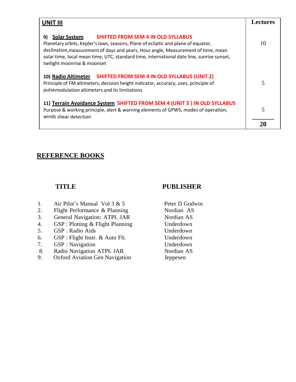| <b>UNIT III</b>                                                                                                                                                                                                                                                                                                                                                              | <b>Lectures</b> |
|------------------------------------------------------------------------------------------------------------------------------------------------------------------------------------------------------------------------------------------------------------------------------------------------------------------------------------------------------------------------------|-----------------|
| <b>Solar System</b><br><b>SHIFTED FROM SEM 4 IN OLD SYLLABUS</b><br>9)<br>Planetary orbits, Kepler's laws, seasons, Plane of ecliptic and plane of equator,<br>declination, measurement of days and years, Hour angle, Measurement of time, mean<br>solar time, local mean time, UTC, standard time, international date line, sunrise sunset,<br>twilight moonrise & moonset | 10              |
| 10) Radio Altimeter SHIFTED FROM SEM 4 IN OLD SYLLABUS (UNIT 2)<br>Principle of FM altimeters, decision height indicator, accuracy, uses, principle of<br>pulsemodulation altimeters and its limitations                                                                                                                                                                     | 5               |
| 11) Terrain Avoidance System SHIFTED FROM SEM 4 (UNIT 3) IN OLD SYLLABUS<br>Purpose & working principle, alert & warning elements of GPWS, modes of operation,<br>winds shear detection                                                                                                                                                                                      | 5               |
|                                                                                                                                                                                                                                                                                                                                                                              | 20              |

# 1. Air Pilot's Manual Vol  $3 & 5$  Peter D Godwin

- 2. Flight Performance & Planning Nordian AS
- 3. General Navigation: ATPL JAR Nordian AS
- 4. GSP : Plotting & Flight Planning Underdown
- 5. GSP : Radio Aids Underdown
- 6. GSP : Flight Instr. & Auto Flt. Underdown
- 7. GSP : Navigation Underdown
- 8. Radio Navigation ATPL JAR
- 9. Oxford Aviation Gen Navigation

### **TITLE PUBLISHER**

Nordian AS Jeppesen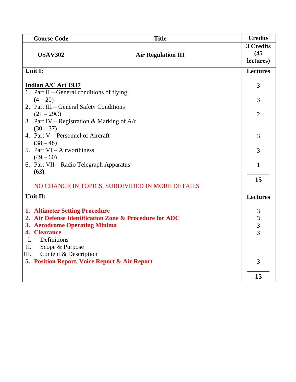| <b>Title</b><br><b>Course Code</b>                     |                                                        | <b>Credits</b>                             |
|--------------------------------------------------------|--------------------------------------------------------|--------------------------------------------|
|                                                        |                                                        | 3 Credits                                  |
| <b>USAV302</b>                                         | <b>Air Regulation III</b>                              | (45)                                       |
|                                                        |                                                        | lectures)                                  |
| Unit I:                                                |                                                        | <b>Lectures</b>                            |
|                                                        |                                                        |                                            |
| Indian A/C Act 1937                                    |                                                        | 3                                          |
| 1. Part II – General conditions of flying              |                                                        |                                            |
| $(4-20)$                                               |                                                        | 3                                          |
| 2. Part III - General Safety Conditions                |                                                        |                                            |
| (21 – 29C)                                             |                                                        | $\overline{2}$                             |
|                                                        | 3. Part IV – Registration & Marking of $A/c$           |                                            |
| $(30 - 37)$                                            |                                                        |                                            |
| 4. Part V – Personnel of Aircraft                      |                                                        | 3                                          |
| $(38 - 48)$                                            |                                                        | 3                                          |
|                                                        | 5. Part VI - Airworthiness                             |                                            |
| $(49 - 60)$<br>6. Part VII – Radio Telegraph Apparatus |                                                        |                                            |
|                                                        |                                                        | 1                                          |
| (63)                                                   |                                                        |                                            |
|                                                        | NO CHANGE IN TOPICS. SUBDIVIDED IN MORE DETAILS        | 15                                         |
|                                                        |                                                        |                                            |
| Unit II:                                               |                                                        | <b>Lectures</b>                            |
| <b>1. Altimeter Setting Procedure</b>                  |                                                        | 3                                          |
|                                                        | 2. Air Defense Identification Zone & Procedure for ADC |                                            |
| 3. Aerodrome Operating Minima                          |                                                        |                                            |
| <b>Clearance</b><br>4.                                 |                                                        | $\begin{array}{c} 3 \\ 3 \\ 3 \end{array}$ |
| Definitions<br>I.                                      |                                                        |                                            |
| Scope & Purpose<br>II.                                 |                                                        |                                            |
| Content & Description<br>III.                          |                                                        |                                            |
|                                                        | 5. Position Report, Voice Report & Air Report          | 3                                          |
|                                                        |                                                        |                                            |
|                                                        |                                                        | 15                                         |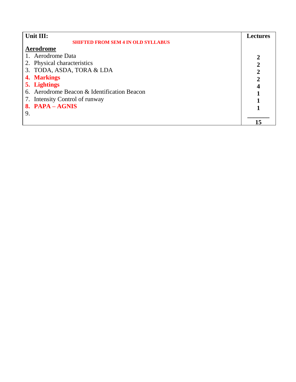| Unit III:                                   |    |
|---------------------------------------------|----|
| <b>SHIFTED FROM SEM 4 IN OLD SYLLABUS</b>   |    |
| Aerodrome                                   |    |
| 1. Aerodrome Data                           |    |
| 2. Physical characteristics                 | 2  |
| 3. TODA, ASDA, TORA & LDA                   | 2  |
| 4. Markings                                 |    |
| 5. Lightings                                |    |
| 6. Aerodrome Beacon & Identification Beacon |    |
| 7. Intensity Control of runway              |    |
| 8. PAPA - AGNIS                             |    |
| 9.                                          |    |
|                                             | 15 |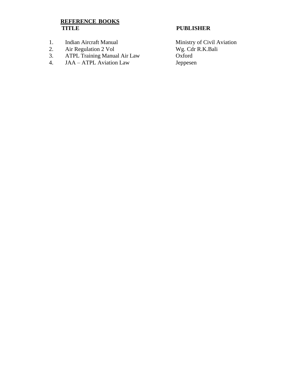- 
- 
- 2. Air Regulation 2 Vol Wg. Cdr Wg. Cdr 8. ATPL Training Manual Air Law Oxford 3. ATPL Training Manual Air Law Oxford
- 4. JAA ATPL Aviation Law Jeppesen

### **PUBLISHER**

1. Indian Aircraft Manual Ministry of Civil Aviation<br>
2. Air Regulation 2 Vol<br>
2. Air Regulation 2 Vol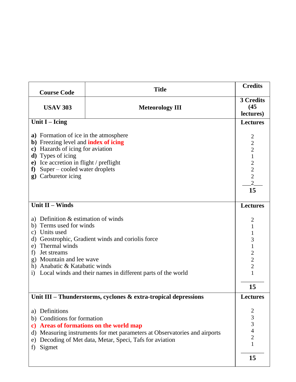| <b>Course Code</b>                                                                                                                                                                                                                                                                                                                          | <b>Title</b>                                                                                                                                                                         | <b>Credits</b>                                                                                                               |
|---------------------------------------------------------------------------------------------------------------------------------------------------------------------------------------------------------------------------------------------------------------------------------------------------------------------------------------------|--------------------------------------------------------------------------------------------------------------------------------------------------------------------------------------|------------------------------------------------------------------------------------------------------------------------------|
| <b>USAV 303</b><br><b>Meteorology III</b>                                                                                                                                                                                                                                                                                                   |                                                                                                                                                                                      | 3 Credits<br>(45)<br>lectures)                                                                                               |
| Unit $I - Icing$                                                                                                                                                                                                                                                                                                                            |                                                                                                                                                                                      | <b>Lectures</b>                                                                                                              |
| a) Formation of ice in the atmosphere<br><b>b</b> ) Freezing level and <b>index of icing</b><br>c) Hazards of icing for aviation<br><b>d</b> ) Types of icing<br>Ice accretion in flight / preflight<br>e)<br>Super – cooled water droplets<br>${\bf f}$<br>Carburetor icing<br>$\mathbf{g}$                                                |                                                                                                                                                                                      | $\overline{c}$<br>$\frac{2}{2}$<br>$\mathbf{1}$<br>$\begin{array}{c} 2 \\ 2 \\ 2 \\ 2 \end{array}$<br>15                     |
| <b>Unit II - Winds</b>                                                                                                                                                                                                                                                                                                                      |                                                                                                                                                                                      | <b>Lectures</b>                                                                                                              |
| a) Definition $&$ estimation of winds<br>Terms used for winds<br>b)<br>Units used<br>$\mathbf{c})$<br>d) Geostrophic, Gradient winds and coriolis force<br>Thermal winds<br>e)<br>Jet streams<br>f)<br>g) Mountain and lee wave<br>h) Anabatic & Katabatic winds<br>Local winds and their names in different parts of the world<br>$\rm i)$ |                                                                                                                                                                                      | $\overline{2}$<br>$\mathbf{1}$<br>$\mathbf{1}$<br>3<br>$\mathbf{1}$<br>$\begin{array}{c} 2 \\ 2 \\ 2 \\ 1 \end{array}$<br>15 |
|                                                                                                                                                                                                                                                                                                                                             | Unit III - Thunderstorms, cyclones & extra-tropical depressions                                                                                                                      | <b>Lectures</b>                                                                                                              |
| a) Definitions<br>b) Conditions for formation<br>$\mathbf{c}$<br>Sigmet<br>f)                                                                                                                                                                                                                                                               | <b>Areas of formations on the world map</b><br>d) Measuring instruments for met parameters at Observatories and airports<br>e) Decoding of Met data, Metar, Speci, Tafs for aviation | $\overline{\mathbf{c}}$<br>$\frac{3}{3}$<br>$\overline{4}$<br>$\overline{c}$<br>$\mathbf{1}$<br>15                           |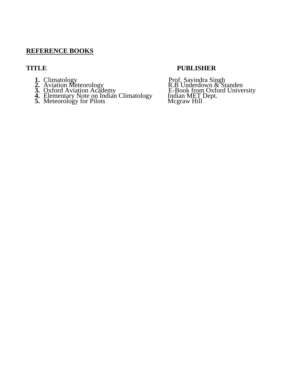- 
- 
- 
- **4.** Elementary Note on Indian Climatology Indian MET Dept.
- **5.** Meteorology for Pilots Mcgraw Hill

### **TITLE PUBLISHER**

1. Climatology Prof. Savindra Singh 2. Aviation Meteorology R.B Underdown & Standen **3.** Oxford Aviation Academy  $E$ -Book from Oxford University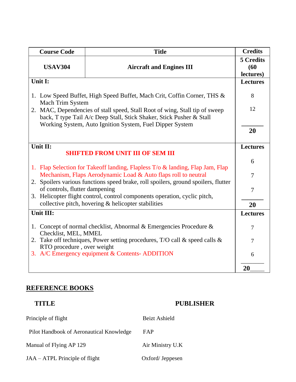| <b>Course Code</b><br><b>Title</b>                  |                                                                                                                                                     | <b>Credits</b>                 |
|-----------------------------------------------------|-----------------------------------------------------------------------------------------------------------------------------------------------------|--------------------------------|
| <b>USAV304</b>                                      | <b>Aircraft and Engines III</b>                                                                                                                     | 5 Credits<br>(60)<br>lectures) |
| Unit I:                                             |                                                                                                                                                     | <b>Lectures</b>                |
| Mach Trim System                                    | 1. Low Speed Buffet, High Speed Buffet, Mach Crit, Coffin Corner, THS &                                                                             | 8                              |
|                                                     | 2. MAC, Dependencies of stall speed, Stall Root of wing, Stall tip of sweep<br>back, T type Tail A/c Deep Stall, Stick Shaker, Stick Pusher & Stall |                                |
|                                                     | Working System, Auto Ignition System, Fuel Dipper System                                                                                            |                                |
| Unit II:<br><b>SHIFTED FROM UNIT III OF SEM III</b> |                                                                                                                                                     | <b>Lectures</b>                |
|                                                     |                                                                                                                                                     | 6                              |
|                                                     | 1. Flap Selection for Takeoff landing, Flapless T/o & landing, Flap Jam, Flap<br>Mechanism, Flaps Aerodynamic Load & Auto flaps roll to neutral     | 7                              |
| of controls, flutter dampening                      | 2. Spoilers various functions speed brake, roll spoilers, ground spoilers, flutter                                                                  | $\overline{7}$                 |
|                                                     | 3. Helicopter flight control, control components operation, cyclic pitch,<br>collective pitch, hovering & helicopter stabilities                    | 20                             |
| Unit III:                                           |                                                                                                                                                     | <b>Lectures</b>                |
| Checklist, MEL, MMEL                                | 1. Concept of normal checklist, Abnormal & Emergencies Procedure $\&$                                                                               | 7                              |
| RTO procedure, over weight                          | 2. Take off techniques, Power setting procedures, T/O call & speed calls &                                                                          | 7                              |
|                                                     | 3. A/C Emergency equipment & Contents-ADDITION                                                                                                      | 6                              |
|                                                     |                                                                                                                                                     | 20                             |

### **TITLE PUBLISHER**

| Principle of flight                      | Beizt Ashield    |
|------------------------------------------|------------------|
| Pilot Handbook of Aeronautical Knowledge | FAP              |
| Manual of Flying AP 129                  | Air Ministry U.K |
| JAA – ATPL Principle of flight           | Oxford/Jeppesen  |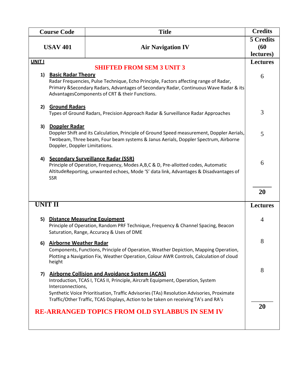| <b>Title</b><br><b>Course Code</b> |                                                       | <b>Credits</b>                                                                                                                                                                                                                                                        |                                |
|------------------------------------|-------------------------------------------------------|-----------------------------------------------------------------------------------------------------------------------------------------------------------------------------------------------------------------------------------------------------------------------|--------------------------------|
|                                    | <b>USAV 401</b>                                       | <b>Air Navigation IV</b>                                                                                                                                                                                                                                              | 5 Credits<br>(60)<br>lectures) |
| <b>UNIT I</b>                      |                                                       |                                                                                                                                                                                                                                                                       | <b>Lectures</b>                |
| 1)                                 | <b>Basic Radar Theory</b>                             | <b>SHIFTED FROM SEM 3 UNIT 3</b><br>Radar Frequencies, Pulse Technique, Echo Principle, Factors affecting range of Radar,<br>Primary & Secondary Radars, Advantages of Secondary Radar, Continuous Wave Radar & its<br>AdvantagesComponents of CRT & their Functions. | 6                              |
| 2)                                 | <b>Ground Radars</b>                                  | Types of Ground Radars, Precision Approach Radar & Surveillance Radar Approaches                                                                                                                                                                                      | 3                              |
| 3)                                 | <b>Doppler Radar</b><br>Doppler, Doppler Limitations. | Doppler Shift and its Calculation, Principle of Ground Speed measurement, Doppler Aerials,<br>Twobeam, Three beam, Four beam systems & Janus Aerials, Doppler Spectrum, Airborne                                                                                      | 5                              |
| 4)                                 | <b>SSR</b>                                            | <b>Secondary Surveillance Radar (SSR)</b><br>Principle of Operation, Frequency, Modes A,B,C & D, Pre-allotted codes, Automatic<br>AltitudeReporting, unwanted echoes, Mode 'S' data link, Advantages & Disadvantages of                                               | 6                              |
|                                    |                                                       |                                                                                                                                                                                                                                                                       | 20                             |
| <b>UNIT II</b>                     |                                                       | <b>Lectures</b>                                                                                                                                                                                                                                                       |                                |
| 5)                                 |                                                       | <b>Distance Measuring Equipment</b><br>Principle of Operation, Random PRF Technique, Frequency & Channel Spacing, Beacon<br>Saturation, Range, Accuracy & Uses of DME                                                                                                 | 4                              |
|                                    | 6) Airborne Weather Radar<br>height                   | Components, Functions, Principle of Operation, Weather Depiction, Mapping Operation,<br>Plotting a Navigation Fix, Weather Operation, Colour AWR Controls, Calculation of cloud                                                                                       | 8                              |
| 7)                                 | Interconnections,                                     | <b>Airborne Collision and Avoidance System (ACAS)</b><br>Introduction, TCAS I, TCAS II, Principle, Aircraft Equipment, Operation, System                                                                                                                              | 8                              |
|                                    |                                                       | Synthetic Voice Prioritisation, Traffic Advisories (TAs) Resolution Advisories, Proximate<br>Traffic/Other Traffic, TCAS Displays, Action to be taken on receiving TA's and RA's<br><b>RE-ARRANGED TOPICS FROM OLD SYLABBUS IN SEM IV</b>                             | 20                             |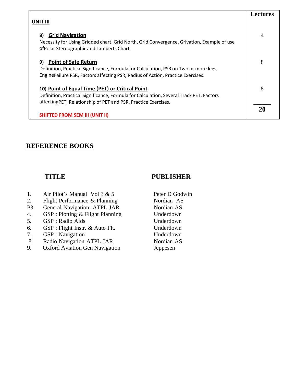|                                                                                                                                                                                                               | Lectures |
|---------------------------------------------------------------------------------------------------------------------------------------------------------------------------------------------------------------|----------|
| UNIT III                                                                                                                                                                                                      |          |
| <b>Grid Navigation</b><br>8)<br>Necessity for Using Gridded chart, Grid North, Grid Convergence, Grivation, Example of use<br>of Polar Stereographic and Lamberts Chart                                       | 4        |
| <b>Point of Safe Return</b><br>9)<br>Definition, Practical Significance, Formula for Calculation, PSR on Two or more legs,<br>EngineFailure PSR, Factors affecting PSR, Radius of Action, Practice Exercises. | 8        |
| 10) Point of Equal Time (PET) or Critical Point<br>Definition, Practical Significance, Formula for Calculation, Several Track PET, Factors<br>affecting PET, Relationship of PET and PSR, Practice Exercises. | 8        |
| <b>SHIFTED FROM SEM III (UNIT II)</b>                                                                                                                                                                         | 20       |

### **TITLE PUBLISHER**

- 1. Air Pilot's Manual Vol  $3 & 5$  Peter D Godwin
- 2. Flight Performance & Planning Nordian AS
- P3. General Navigation: ATPL JAR Nordian AS
- 4. GSP : Plotting & Flight Planning Underdown
- 5. GSP : Radio Aids Underdown
- 6. GSP : Flight Instr. & Auto Flt. Underdown
- 7. GSP : Navigation Underdown
- 8. Radio Navigation ATPL JAR
- 9. Oxford Aviation Gen Navigation

Nordian AS Jeppesen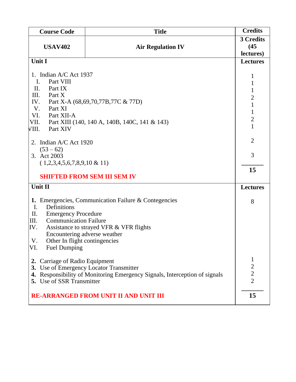| <b>Title</b><br><b>Course Code</b>                          |                                                                         | <b>Credits</b>                   |
|-------------------------------------------------------------|-------------------------------------------------------------------------|----------------------------------|
| <b>USAV402</b><br><b>Air Regulation IV</b>                  |                                                                         | 3 Credits<br>(45)<br>lectures)   |
| Unit I                                                      |                                                                         | <b>Lectures</b>                  |
|                                                             |                                                                         | 1                                |
| 1. Indian A/C Act 1937<br>Part VIII<br>Ι.                   |                                                                         |                                  |
| II.<br>Part IX                                              |                                                                         | 1<br>$\mathbf{1}$                |
| III.<br>Part X                                              |                                                                         | $\overline{c}$                   |
| IV.                                                         | Part X-A (68,69,70,77B,77C & 77D)                                       | $\mathbf{1}$                     |
| V.<br>Part XI                                               |                                                                         | $\mathbf{1}$                     |
| VI.<br>Part XII-A                                           |                                                                         | $\overline{2}$                   |
| VII.<br>VIII.<br>Part XIV                                   | Part XIII (140, 140 A, 140B, 140C, 141 & 143)                           | $\mathbf{1}$                     |
|                                                             |                                                                         |                                  |
| 2. Indian A/C Act 1920                                      |                                                                         | $\overline{2}$                   |
| $(53-62)$                                                   |                                                                         |                                  |
| 3. Act 2003                                                 |                                                                         | 3                                |
| $(1,2,3,4,5,6,7,8,9,10 \& 11)$                              |                                                                         |                                  |
| <b>SHIFTED FROM SEM III SEM IV</b>                          |                                                                         | 15                               |
|                                                             |                                                                         |                                  |
| Unit II                                                     |                                                                         | <b>Lectures</b>                  |
|                                                             | 1. Emergencies, Communication Failure & Contegencies                    | 8                                |
| Definitions<br>I.                                           |                                                                         |                                  |
| II.<br><b>Emergency Procedure</b>                           |                                                                         |                                  |
| <b>Communication Failure</b><br>III.                        |                                                                         |                                  |
| IV.                                                         | Assistance to strayed VFR & VFR flights                                 |                                  |
| Encountering adverse weather<br>V.                          |                                                                         |                                  |
| Other In flight contingencies<br>VI.<br><b>Fuel Dumping</b> |                                                                         |                                  |
|                                                             |                                                                         |                                  |
| 2. Carriage of Radio Equipment                              |                                                                         | $\mathbf 1$                      |
|                                                             | 3. Use of Emergency Locator Transmitter                                 | $\overline{c}$                   |
| 4.                                                          | Responsibility of Monitoring Emergency Signals, Interception of signals | $\overline{c}$<br>$\overline{2}$ |
| 5. Use of SSR Transmitter                                   |                                                                         |                                  |
|                                                             | <b>RE-ARRANGED FROM UNIT II AND UNIT III</b>                            | 15                               |
|                                                             |                                                                         |                                  |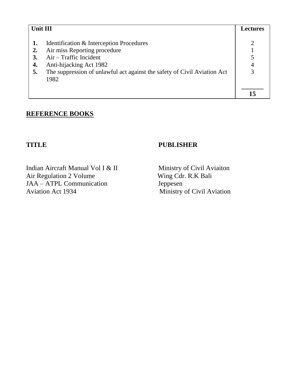| Unit III                     |                                                                                                                                                                                                                     | <b>Lectures</b> |
|------------------------------|---------------------------------------------------------------------------------------------------------------------------------------------------------------------------------------------------------------------|-----------------|
| $\overline{2}$ .<br>4.<br>5. | Identification & Interception Procedures<br>Air miss Reporting procedure<br>$Air$ – Traffic Incident<br>Anti-hijacking Act 1982<br>The suppression of unlawful act against the safety of Civil Aviation Act<br>1982 |                 |
|                              |                                                                                                                                                                                                                     |                 |

Indian Aircraft Manual Vol I & II Ministry of Civil Aviaiton<br>Air Regulation 2 Volume Wing Cdr. R.K Bali Air Regulation 2 Volume JAA – ATPL Communication Jeppesen<br>Aviation Act 1934 Ministry

### **TITLE PUBLISHER**

Ministry of Civil Aviation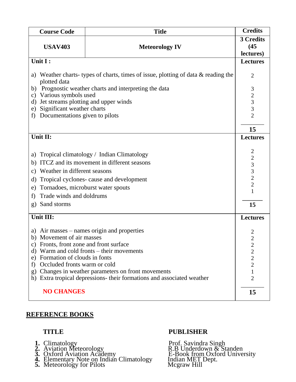| <b>Title</b><br><b>Course Code</b>             |                                                                                   | <b>Credits</b>                             |
|------------------------------------------------|-----------------------------------------------------------------------------------|--------------------------------------------|
|                                                |                                                                                   | 3 Credits                                  |
| <b>USAV403</b>                                 | <b>Meteorology IV</b>                                                             | (45)                                       |
|                                                |                                                                                   | lectures)                                  |
| Unit I:                                        |                                                                                   | <b>Lectures</b>                            |
| plotted data                                   | a) Weather charts-types of charts, times of issue, plotting of data & reading the | $\overline{2}$                             |
| b)                                             | Prognostic weather charts and interpreting the data                               | $\mathfrak{Z}$                             |
| Various symbols used<br>c)                     |                                                                                   | $\begin{array}{c} 2 \\ 3 \\ 3 \end{array}$ |
|                                                | Jet streams plotting and upper winds<br>d)                                        |                                            |
| Significant weather charts<br>e)               |                                                                                   | $\overline{2}$                             |
| Documentations given to pilots<br>f)           |                                                                                   |                                            |
|                                                |                                                                                   | 15                                         |
| Unit II:                                       |                                                                                   | <b>Lectures</b>                            |
|                                                |                                                                                   |                                            |
| a)                                             | Tropical climatology / Indian Climatology                                         | 2                                          |
| b)                                             | ITCZ and its movement in different seasons                                        |                                            |
|                                                |                                                                                   | $\begin{array}{c}\n23 \\ 32\n\end{array}$  |
| Weather in different seasons<br>c)             |                                                                                   |                                            |
| Tropical cyclones- cause and development<br>d) |                                                                                   |                                            |
| Tornadoes, microburst water spouts<br>e)       |                                                                                   | $\mathbf{1}$                               |
| f)                                             | Trade winds and doldrums                                                          |                                            |
| Sand storms<br>$\mathbf{g}$                    |                                                                                   | 15                                         |
| Unit III:                                      |                                                                                   | <b>Lectures</b>                            |
|                                                | a) Air masses – names origin and properties                                       | $\overline{c}$                             |
| b) Movement of air masses                      |                                                                                   | $\overline{2}$                             |
|                                                | c) Fronts, front zone and front surface                                           |                                            |
| d) Warm and cold fronts – their movements      |                                                                                   | $\overline{\mathbf{c}}$<br>$\frac{2}{2}$   |
|                                                | e) Formation of clouds in fonts                                                   |                                            |
| f)                                             | Occluded fronts warm or cold                                                      |                                            |
|                                                | Changes in weather parameters on front movements<br>g)                            |                                            |
|                                                | h) Extra tropical depressions- their formations and associated weather            | $\overline{2}$                             |
| <b>NO CHANGES</b>                              |                                                                                   | 15                                         |

- 
- 
- 
- **4.** Elementary Note on Indian Climatology Indian MET Dept.
- **5.** Meteorology for Pilots Mcgraw Hill

### **TITLE PUBLISHER**

1. Climatology Prof. Savindra Singh 2. Aviation Meteorology R.B Underdown & Standen 3. Oxford Aviation Academy  $\overline{E}$ -Book from Oxford University